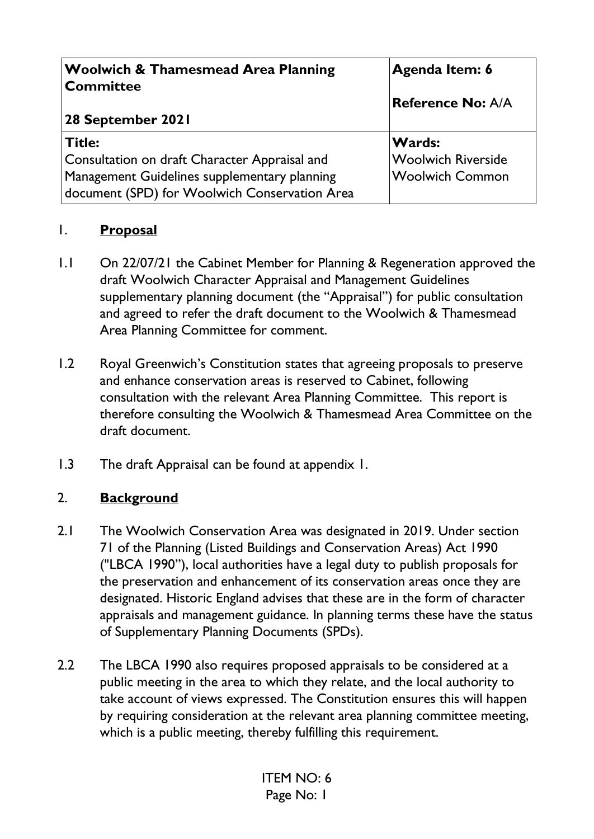| <b>Woolwich &amp; Thamesmead Area Planning</b><br>Committee                                   | Agenda Item: 6            |
|-----------------------------------------------------------------------------------------------|---------------------------|
|                                                                                               | <b>Reference No: A/A</b>  |
| 28 September 2021                                                                             |                           |
| Title:                                                                                        | <b>Wards:</b>             |
| Consultation on draft Character Appraisal and                                                 | <b>Woolwich Riverside</b> |
| Management Guidelines supplementary planning<br>document (SPD) for Woolwich Conservation Area | Woolwich Common           |

#### 1. **Proposal**

- 1.1 On 22/07/21 the Cabinet Member for Planning & Regeneration approved the draft Woolwich Character Appraisal and Management Guidelines supplementary planning document (the "Appraisal") for public consultation and agreed to refer the draft document to the Woolwich & Thamesmead Area Planning Committee for comment.
- 1.2 Royal Greenwich's Constitution states that agreeing proposals to preserve and enhance conservation areas is reserved to Cabinet, following consultation with the relevant Area Planning Committee. This report is therefore consulting the Woolwich & Thamesmead Area Committee on the draft document.
- 1.3 The draft Appraisal can be found at appendix 1.

### 2. **Background**

- 2.1 The Woolwich Conservation Area was designated in 2019. Under section 71 of the Planning (Listed Buildings and Conservation Areas) Act 1990 ("LBCA 1990"), local authorities have a legal duty to publish proposals for the preservation and enhancement of its conservation areas once they are designated. Historic England advises that these are in the form of character appraisals and management guidance. In planning terms these have the status of Supplementary Planning Documents (SPDs).
- 2.2 The LBCA 1990 also requires proposed appraisals to be considered at a public meeting in the area to which they relate, and the local authority to take account of views expressed. The Constitution ensures this will happen by requiring consideration at the relevant area planning committee meeting, which is a public meeting, thereby fulfilling this requirement.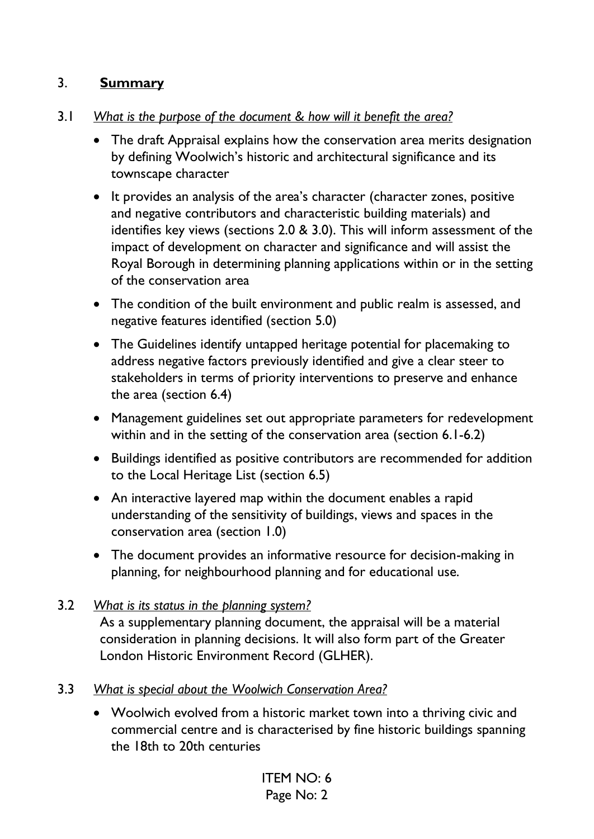### 3. **Summary**

- 3.1 *What is the purpose of the document & how will it benefit the area?* 
	- The draft Appraisal explains how the conservation area merits designation by defining Woolwich's historic and architectural significance and its townscape character
	- It provides an analysis of the area's character (character zones, positive and negative contributors and characteristic building materials) and identifies key views (sections 2.0 & 3.0). This will inform assessment of the impact of development on character and significance and will assist the Royal Borough in determining planning applications within or in the setting of the conservation area
	- The condition of the built environment and public realm is assessed, and negative features identified (section 5.0)
	- The Guidelines identify untapped heritage potential for placemaking to address negative factors previously identified and give a clear steer to stakeholders in terms of priority interventions to preserve and enhance the area (section 6.4)
	- Management guidelines set out appropriate parameters for redevelopment within and in the setting of the conservation area (section 6.1-6.2)
	- Buildings identified as positive contributors are recommended for addition to the Local Heritage List (section 6.5)
	- An interactive layered map within the document enables a rapid understanding of the sensitivity of buildings, views and spaces in the conservation area (section 1.0)
	- The document provides an informative resource for decision-making in planning, for neighbourhood planning and for educational use.

# 3.2 *What is its status in the planning system?*

As a supplementary planning document, the appraisal will be a material consideration in planning decisions. It will also form part of the Greater London Historic Environment Record (GLHER).

#### 3.3 *What is special about the Woolwich Conservation Area?*

• Woolwich evolved from a historic market town into a thriving civic and commercial centre and is characterised by fine historic buildings spanning the 18th to 20th centuries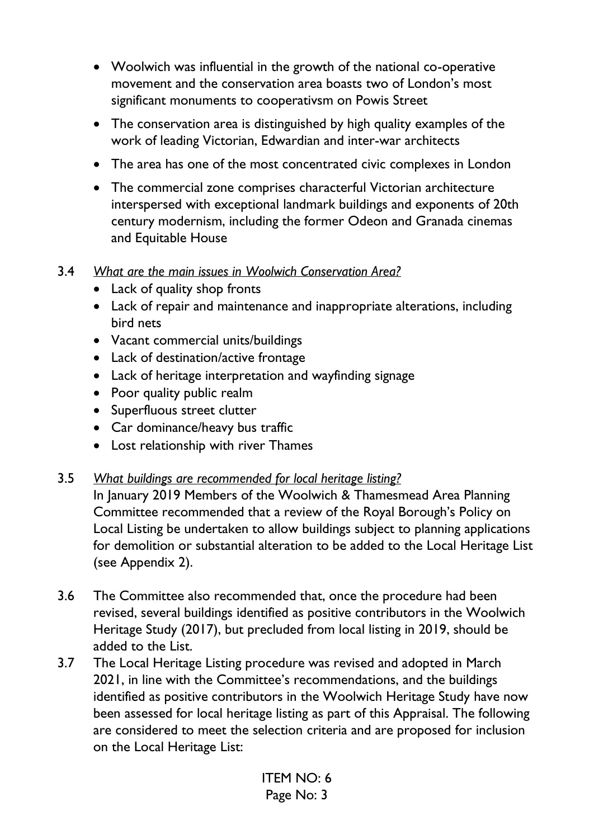- Woolwich was influential in the growth of the national co-operative movement and the conservation area boasts two of London's most significant monuments to cooperativsm on Powis Street
- The conservation area is distinguished by high quality examples of the work of leading Victorian, Edwardian and inter-war architects
- The area has one of the most concentrated civic complexes in London
- The commercial zone comprises characterful Victorian architecture interspersed with exceptional landmark buildings and exponents of 20th century modernism, including the former Odeon and Granada cinemas and Equitable House

#### 3.4 *What are the main issues in Woolwich Conservation Area?*

- Lack of quality shop fronts
- Lack of repair and maintenance and inappropriate alterations, including bird nets
- Vacant commercial units/buildings
- Lack of destination/active frontage
- Lack of heritage interpretation and wayfinding signage
- Poor quality public realm
- Superfluous street clutter
- Car dominance/heavy bus traffic
- Lost relationship with river Thames

#### 3.5 *What buildings are recommended for local heritage listing?*

 In January 2019 Members of the Woolwich & Thamesmead Area Planning Committee recommended that a review of the Royal Borough's Policy on Local Listing be undertaken to allow buildings subject to planning applications for demolition or substantial alteration to be added to the Local Heritage List (see Appendix 2).

- 3.6 The Committee also recommended that, once the procedure had been revised, several buildings identified as positive contributors in the Woolwich Heritage Study (2017), but precluded from local listing in 2019, should be added to the List.
- 3.7 The Local Heritage Listing procedure was revised and adopted in March 2021, in line with the Committee's recommendations, and the buildings identified as positive contributors in the Woolwich Heritage Study have now been assessed for local heritage listing as part of this Appraisal. The following are considered to meet the selection criteria and are proposed for inclusion on the Local Heritage List: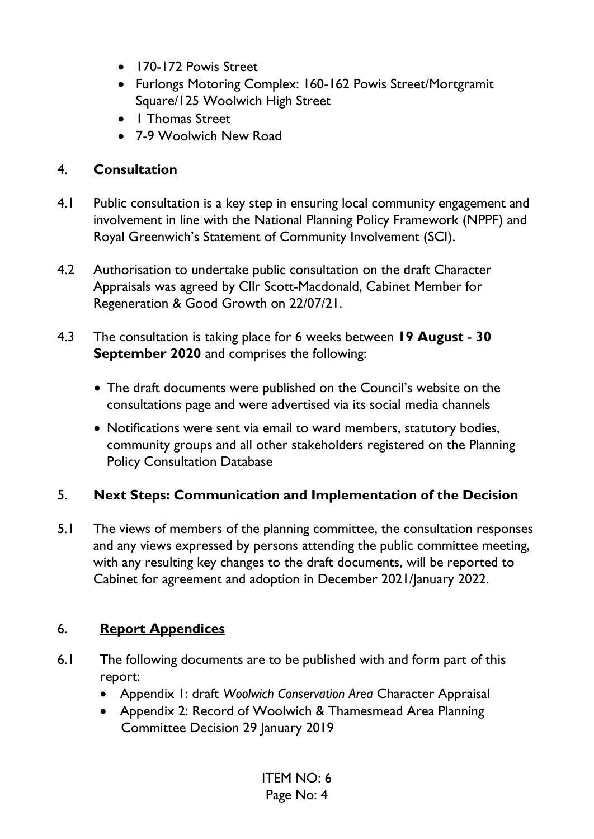- 170-172 Powis Street
- Furlongs Motoring Complex: 160-162 Powis Street/Mortgramit Square/125 Woolwich High Street
- 1 Thomas Street
- 7-9 Woolwich New Road

### 4. **Consultation**

- 4.1 Public consultation is a key step in ensuring local community engagement and involvement in line with the National Planning Policy Framework (NPPF) and Royal Greenwich's Statement of Community Involvement (SCI).
- 4.2 Authorisation to undertake public consultation on the draft Character Appraisals was agreed by Cllr Scott-Macdonald, Cabinet Member for Regeneration & Good Growth on 22/07/21.
- 4.3 The consultation is taking place for 6 weeks between **19 August 30 September 2020** and comprises the following:
	- The draft documents were published on the Council's website on the consultations page and were advertised via its social media channels
	- Notifications were sent via email to ward members, statutory bodies, community groups and all other stakeholders registered on the Planning Policy Consultation Database

## 5. **Next Steps: Communication and Implementation of the Decision**

5.1 The views of members of the planning committee, the consultation responses and any views expressed by persons attending the public committee meeting, with any resulting key changes to the draft documents, will be reported to Cabinet for agreement and adoption in December 2021/January 2022.

## 6. **Report Appendices**

- 6.1 The following documents are to be published with and form part of this report:
	- Appendix 1: draft *Woolwich Conservation Area* Character Appraisal
	- Appendix 2: Record of Woolwich & Thamesmead Area Planning Committee Decision 29 January 2019